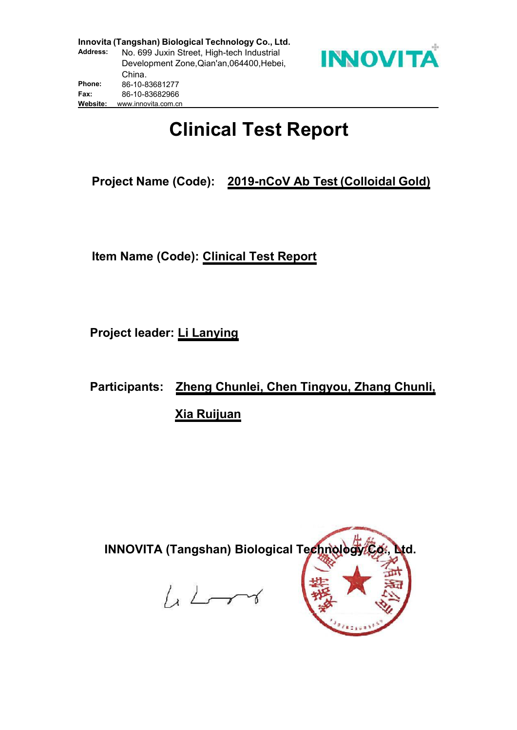

# **Clinical Test Report**

**Project Name (Code): 2019-nCoV Ab Test (Colloidal Gold)**

**Item Name (Code): Clinical Test Report**

**Project leader: Li Lanying**

**Participants: Zheng Chunlei, Chen Tingyou, Zhang Chunli, Xia Ruijuan**

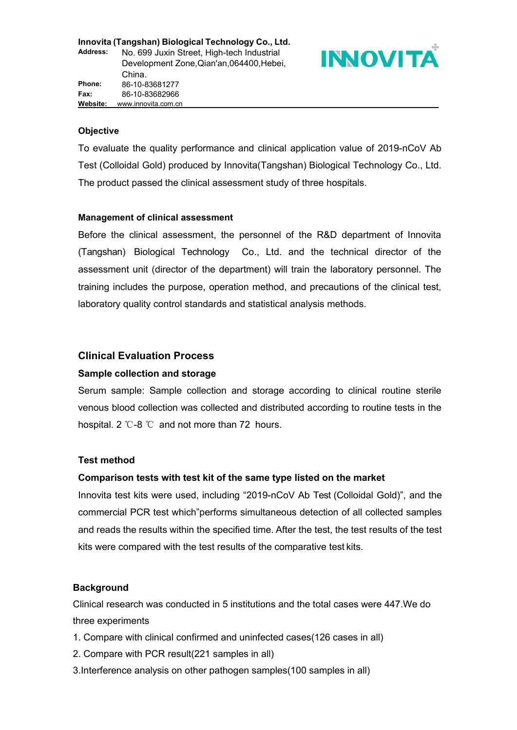

#### **Objective**

To evaluate the quality performance and clinical application value of 2019-nCoV Ab Test (Colloidal Gold) produced by Innovita(Tangshan) Biological Technology Co., Ltd. The product passed the clinical assessment study of three hospitals.

#### **Management of clinical assessment**

Before the clinical assessment, the personnel of the R&D department of Innovita (Tangshan) Biological Technology Co., Ltd. and the technical director of the assessment unit (director of the department) will train the laboratory personnel. The training includes the purpose, operation method, and precautions of the clinical test, laboratory quality control standards and statistical analysis methods.

#### **Clinical Evaluation Process**

#### **Sample collection and storage**

Serum sample: Sample collection and storage according to clinical routine sterile venous blood collection was collected and distributed according to routine tests in the hospital. 2 ℃-8 ℃ and not more than 72 hours.

#### **Test method**

#### **Comparison tests with test kit of the same type listed on the market**

Innovita test kits were used, including "2019-nCoV Ab Test (Colloidal Gold)", and the commercial PCR test which"performs simultaneous detection of all collected samples and reads the results within the specified time. After the test, the test results of the test kits were compared with the test results of the comparative test kits.

#### **Background**

Clinical research was conducted in 5 institutions and the total cases were 447.We do three experiments

- 1. Compare with clinical confirmed and uninfected cases(126 cases in all)
- 2. Compare with PCR result(221 samples in all)
- 3.Interference analysis on other pathogen samples(100 samples in all)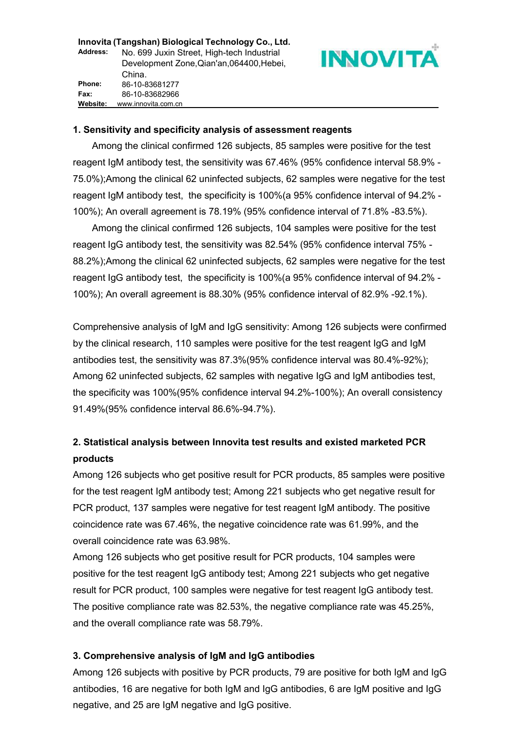#### **Innovita (Tangshan)** Biological Technology Co., Ltd.<br>Address: No. 699 Juxin Street, High-tech Industrial<br>Development Zone Ojan'an 064400 Hebei **Address:** No. 699 Juxin Street, High-tech Industrial Development Zone,Qian'an,064400,Hebei, China. 86-10-83681277 86-10-83682966 **Fax: Phone: Website:** www.innovita.com.cn

#### **1. Sensitivity and specificity analysis of assessment reagents**

Among the clinical confirmed 126 subjects, 85 samples were positive for the test reagent IgM antibody test, the sensitivity was 67.46% (95% confidence interval 58.9% - 75.0%);Among the clinical 62 uninfected subjects, 62 samples were negative for the test reagent IgM antibody test, the specificity is 100%(a 95% confidence interval of 94.2% - 100%); An overall agreement is 78.19% (95% confidence interval of 71.8% -83.5%).

Among the clinical confirmed 126 subjects, 104 samples were positive for the test reagent IgG antibody test, the sensitivity was 82.54% (95% confidence interval 75% - 88.2%);Among the clinical 62 uninfected subjects, 62 samples were negative for the test reagent IgG antibody test, the specificity is 100%(a 95% confidence interval of 94.2% - 100%); An overall agreement is 88.30% (95% confidence interval of 82.9% -92.1%).

Comprehensive analysis of IgM and IgG sensitivity: Among 126 subjects were confirmed by the clinical research, 110 samples were positive for the test reagent IgG and IgM antibodies test, the sensitivity was 87.3%(95% confidence interval was 80.4%-92%); Among 62 uninfected subjects, 62 samples with negative IgG and IgM antibodies test, the specificity was 100%(95% confidence interval 94.2%-100%); An overall consistency 91.49%(95% confidence interval 86.6%-94.7%).

## **2. Statistical analysis between Innovita test results and existed marketed PCR products**

Among 126 subjects who get positive result for PCR products, 85 samples were positive for the test reagent IgM antibody test; Among 221 subjects who get negative result for PCR product, 137 samples were negative for test reagent IgM antibody. The positive coincidence rate was 67.46%, the negative coincidence rate was 61.99%, and the overall coincidence rate was 63.98%.

Among 126 subjects who get positive result for PCR products, 104 samples were positive for the test reagent IgG antibody test; Among 221 subjects who get negative result for PCR product, 100 samples were negative for test reagent IgG antibody test. The positive compliance rate was 82.53%, the negative compliance rate was 45.25%, and the overall compliance rate was 58.79%.

#### **3. Comprehensive analysis of IgM and IgG antibodies**

Among 126 subjects with positive by PCR products, 79 are positive for both IgM and IgG antibodies, 16 are negative for both IgM and IgG antibodies, 6 are IgM positive and IgG negative, and 25 are IgM negative and IgG positive.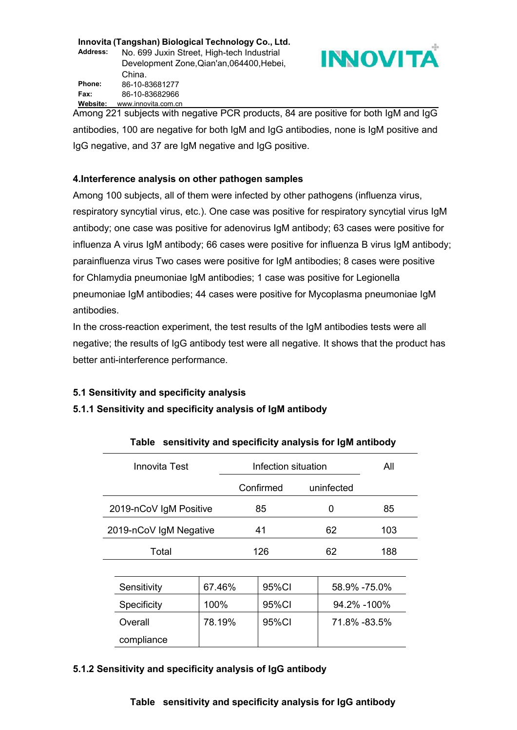**Innovita (Tangshan)** Biological Technology Co., Ltd.<br>Address: No. 699 Juxin Street, High-tech Industrial<br>Development Zone Ojan'an 064400 Hehei **Address:** No. 699 Juxin Street, High-tech Industrial Development Zone,Qian'an,064400,Hebei, China. 86-10-83681277 **Phone:** 86-10-83682966 **Fax: Website:** www.innovita.com.cn



Among 221 subjects with negative PCR products, 84 are positive for both IgM and IgG antibodies, 100 are negative for both IgM and IgG antibodies, none is IgM positive and IgG negative, and 37 are IgM negative and IgG positive.

#### **4.Interference analysis on other pathogen samples**

Among 100 subjects, all of them were infected by other pathogens (influenza virus, respiratory syncytial virus, etc.). One case was positive for respiratory syncytial virus IgM antibody; one case was positive for adenovirus IgM antibody; 63 cases were positive for influenza A virus IgM antibody; 66 cases were positive for influenza B virus IgM antibody; parainfluenza virus Two cases were positive for IgM antibodies; 8 cases were positive for Chlamydia pneumoniae IgM antibodies; 1 case was positive for Legionella pneumoniae IgM antibodies; 44 cases were positive for Mycoplasma pneumoniae IgM antibodies.

In the cross-reaction experiment, the test results of the IgM antibodies tests were all negative; the results of IgG antibody test were all negative. It shows that the product has better anti-interference performance.

#### **5.1 Sensitivity and specificity analysis**

#### **5.1.1 Sensitivity and specificity analysis of IgM antibody**

| <b>Innovita Test</b>   |        | Infection situation |            | All          |
|------------------------|--------|---------------------|------------|--------------|
|                        |        | Confirmed           | uninfected |              |
| 2019-nCoV IgM Positive |        | 85                  | 0          | 85           |
| 2019-nCoV IgM Negative |        | 41                  | 62         | 103          |
| Total                  |        | 126                 | 62         | 188          |
|                        |        |                     |            |              |
| Sensitivity            | 67.46% | 95%CI               |            | 58.9% -75.0% |
| Specificity            | 100%   | 95%CI               |            | 94.2% -100%  |
| Overall                | 78.19% | 95%CI               |            | 71.8% -83.5% |
| compliance             |        |                     |            |              |

#### **Table sensitivity and specificity analysis for IgM antibody**

#### **5.1.2 Sensitivity and specificity analysis of IgG antibody**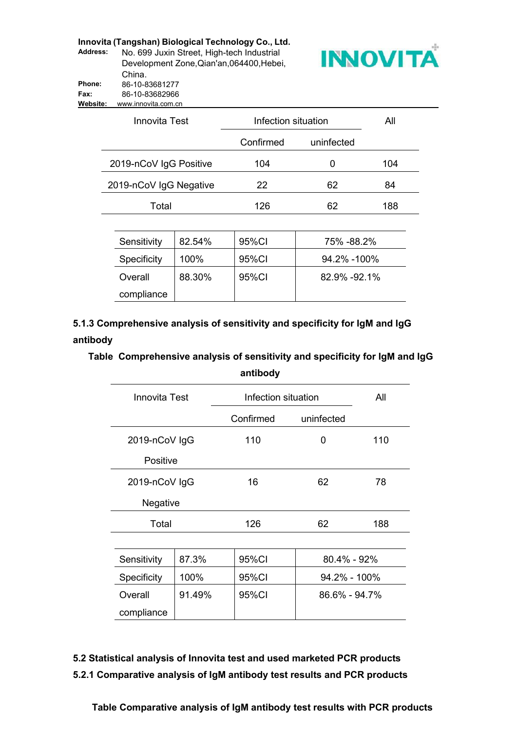|                 | Innovita (Tangshan) Biological Technology Co., Ltd. |                 |
|-----------------|-----------------------------------------------------|-----------------|
| <b>Address:</b> | No. 699 Juxin Street, High-tech Industrial          | <b>INNOVITA</b> |
|                 | Development Zone, Qian'an, 064400, Hebei,           |                 |
|                 | China.                                              |                 |
| <b>Phone:</b>   | 86-10-83681277                                      |                 |
| Fax:            | 86-10-83682966                                      |                 |
| Website:        | www.innovita.com.cn                                 |                 |



| Innovita Test          | Infection situation |            | All |
|------------------------|---------------------|------------|-----|
|                        | Confirmed           | uninfected |     |
| 2019-nCoV IgG Positive | 104                 | O          | 104 |
| 2019-nCoV IgG Negative | 22                  | 62         | 84  |
| Total                  | 126                 | 62         | 188 |

| Sensitivity | 82.54% | 95%CI | 75% - 88.2%   |
|-------------|--------|-------|---------------|
| Specificity | 100%   | 95%CI | 94.2% -100%   |
| Overall     | 88.30% | 95%CI | 82.9% - 92.1% |
| compliance  |        |       |               |

**5.1.3 Comprehensive analysis of sensitivity and specificity for IgM and IgG antibody**

**Table Comprehensive analysis of sensitivity and specificity for IgM and IgG antibody**

| <b>Innovita Test</b> |        | Infection situation |               | All |
|----------------------|--------|---------------------|---------------|-----|
|                      |        | Confirmed           | uninfected    |     |
| 2019-nCoV IgG        |        | 110                 | $\mathbf 0$   | 110 |
| Positive             |        |                     |               |     |
| 2019-nCoV IgG        |        | 16                  | 62            | 78  |
| Negative             |        |                     |               |     |
| Total                |        | 126                 | 62            | 188 |
|                      |        |                     |               |     |
| Sensitivity          | 87.3%  | 95%CI               | 80.4% - 92%   |     |
| Specificity          | 100%   | 95%CI               | 94.2% - 100%  |     |
| Overall              | 91.49% | 95%CI               | 86.6% - 94.7% |     |
| compliance           |        |                     |               |     |

**5.2 Statistical analysis of Innovita test and used marketed PCR products 5.2.1 Comparative analysis of IgM antibody test results and PCR products**

**Table Comparative analysis of IgM antibody test results with PCR products**